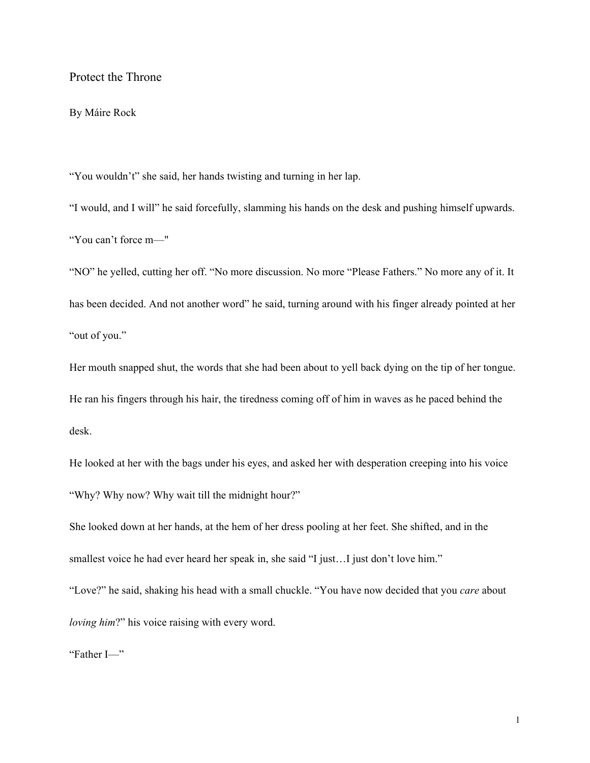# Protect the Throne

## By Máire Rock

"You wouldn't" she said, her hands twisting and turning in her lap.

"I would, and I will" he said forcefully, slamming his hands on the desk and pushing himself upwards. "You can't force m—"

"NO" he yelled, cutting her off. "No more discussion. No more "Please Fathers." No more any of it. It has been decided. And not another word" he said, turning around with his finger already pointed at her "out of you."

Her mouth snapped shut, the words that she had been about to yell back dying on the tip of her tongue. He ran his fingers through his hair, the tiredness coming off of him in waves as he paced behind the desk.

He looked at her with the bags under his eyes, and asked her with desperation creeping into his voice "Why? Why now? Why wait till the midnight hour?"

She looked down at her hands, at the hem of her dress pooling at her feet. She shifted, and in the smallest voice he had ever heard her speak in, she said "I just…I just don't love him."

"Love?" he said, shaking his head with a small chuckle. "You have now decided that you *care* about *loving him*?" his voice raising with every word.

"Father I—"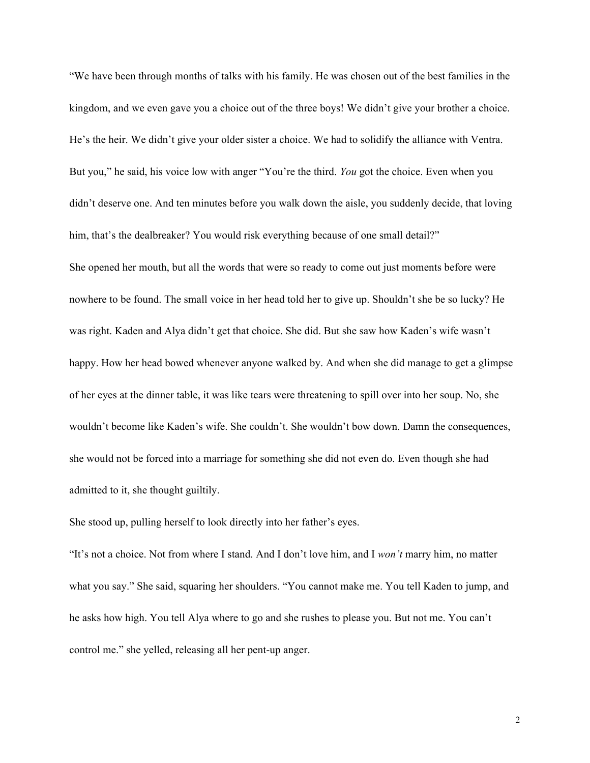"We have been through months of talks with his family. He was chosen out of the best families in the kingdom, and we even gave you a choice out of the three boys! We didn't give your brother a choice. He's the heir. We didn't give your older sister a choice. We had to solidify the alliance with Ventra. But you," he said, his voice low with anger "You're the third. *You* got the choice. Even when you didn't deserve one. And ten minutes before you walk down the aisle, you suddenly decide, that loving him, that's the dealbreaker? You would risk everything because of one small detail?" She opened her mouth, but all the words that were so ready to come out just moments before were nowhere to be found. The small voice in her head told her to give up. Shouldn't she be so lucky? He was right. Kaden and Alya didn't get that choice. She did. But she saw how Kaden's wife wasn't happy. How her head bowed whenever anyone walked by. And when she did manage to get a glimpse of her eyes at the dinner table, it was like tears were threatening to spill over into her soup. No, she wouldn't become like Kaden's wife. She couldn't. She wouldn't bow down. Damn the consequences, she would not be forced into a marriage for something she did not even do. Even though she had admitted to it, she thought guiltily.

She stood up, pulling herself to look directly into her father's eyes.

"It's not a choice. Not from where I stand. And I don't love him, and I *won't* marry him, no matter what you say." She said, squaring her shoulders. "You cannot make me. You tell Kaden to jump, and he asks how high. You tell Alya where to go and she rushes to please you. But not me. You can't control me." she yelled, releasing all her pent-up anger.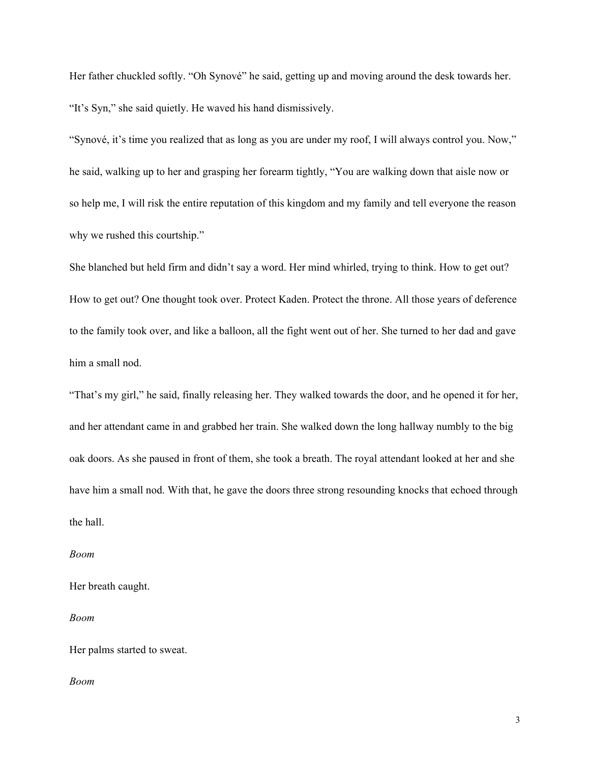Her father chuckled softly. "Oh Synové" he said, getting up and moving around the desk towards her. "It's Syn," she said quietly. He waved his hand dismissively.

"Synové, it's time you realized that as long as you are under my roof, I will always control you. Now," he said, walking up to her and grasping her forearm tightly, "You are walking down that aisle now or so help me, I will risk the entire reputation of this kingdom and my family and tell everyone the reason why we rushed this courtship."

She blanched but held firm and didn't say a word. Her mind whirled, trying to think. How to get out? How to get out? One thought took over. Protect Kaden. Protect the throne. All those years of deference to the family took over, and like a balloon, all the fight went out of her. She turned to her dad and gave him a small nod.

"That's my girl," he said, finally releasing her. They walked towards the door, and he opened it for her, and her attendant came in and grabbed her train. She walked down the long hallway numbly to the big oak doors. As she paused in front of them, she took a breath. The royal attendant looked at her and she have him a small nod. With that, he gave the doors three strong resounding knocks that echoed through the hall.

### *Boom*

Her breath caught.

### *Boom*

Her palms started to sweat.

#### *Boom*